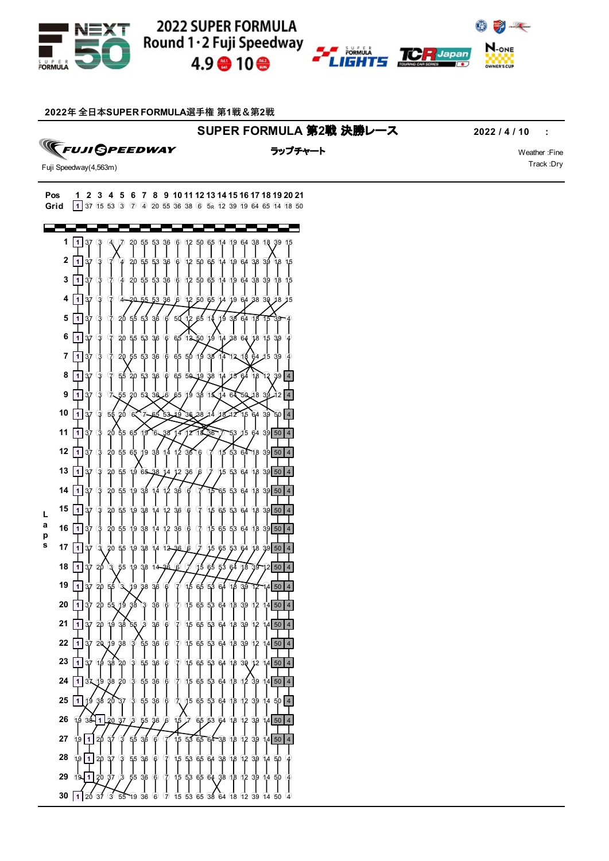





**年 全⽇本SUPER FORMULA選⼿権 第1戦&第2戦**

## **SUPER FORMULA** 第**2**戦 決勝レース **2022 / 4 / 10 :**

**TEUJI OPEEDWAY** 

ラップチャート マンディング・シーク Weather :Fine

Track :Dry

Fuji Speedway(4,563m)

**0 <sup>1</sup>** <sup>37</sup> <sup>15</sup> <sup>53</sup> <sup>3</sup> <sup>7</sup> <sup>4</sup> <sup>20</sup> <sup>55</sup> <sup>36</sup> <sup>38</sup> <sup>6</sup> 5R <sup>12</sup> <sup>39</sup> <sup>19</sup> <sup>64</sup> <sup>65</sup> <sup>14</sup> <sup>18</sup> <sup>50</sup> **Grid Pos 1 2 3 4 5 6 7 8 9 10 11 12 13 14 15 16 17 18 19 20 21**